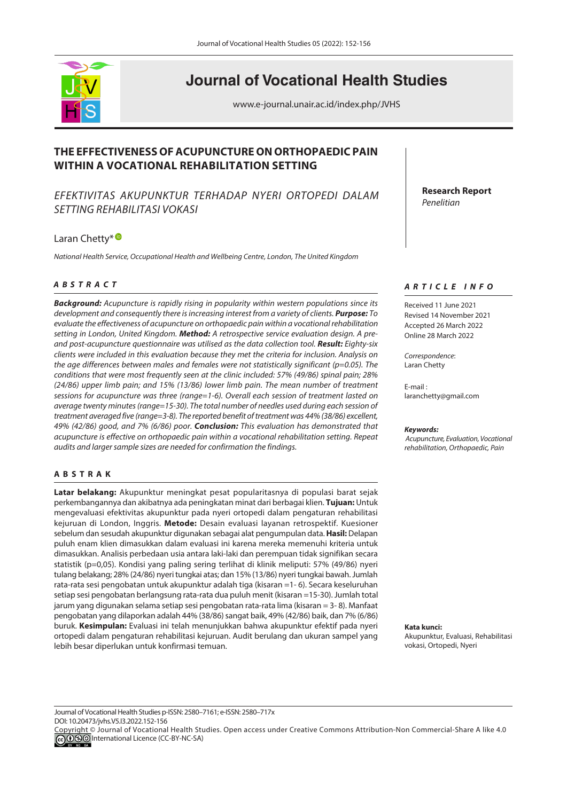

# **Journal of Vocational Health Studies**

www.e-journal.unair.ac.id/index.php/JVHS

## **THE EFFECTIVENESS OF ACUPUNCTURE ON ORTHOPAEDIC PAIN WITHIN A VOCATIONAL REHABILITATION SETTING**

*EFEKTI*V*ITAS AKUPUNKTUR TERHADAP NYERI ORTOPEDI DALAM SETTING REHABILITASI VOKASI*

## LaranChetty\*<sup>®</sup>

*National Health Service, Occupational Health and Wellbeing Centre, London, The United Kingdom*

## *<sup>A</sup> <sup>B</sup> STRACT*

*Background: Acupuncture is rapidly rising in popularity within western populations since its development and consequently there is increasing interest from a variety of clients. Purpose: To evaluate the effectiveness of acupuncture on orthopaedic pain within a vocational rehabilitation setting in London, United Kingdom. Method: A retrospective service evaluation design. A preand post-acupuncture questionnaire was utilised as the data collection tool. Result: Eighty-six clients were included in this evaluation because they met the criteria for inclusion. Analysis on the age differences between males and females were not statistically significant (p=0.05). The conditions that were most frequently seen at the clinic included: 57% (49/86) spinal pain; 28% (24/86) upper limb pain; and 15% (13/86) lower limb pain. The mean number of treatment sessions for acupuncture was three (range=1-6). Overall each session of treatment lasted on average twenty minutes (range=15-30). The total number of needles used during each session of treatment averaged five (range=3-8). The reported benefit of treatment was 44% (38/86) excellent, 49% (42/86) good, and 7% (6/86) poor. Conclusion: This evaluation has demonstrated that acupuncture is effective on orthopaedic pain within a vocational rehabilitation setting. Repeat audits and larger sample sizes are needed for confirmation the findings.*

## **ABSTRAK**

**Latar belakang:** Akupunktur meningkat pesat popularitasnya di populasi barat sejak perkembangannya dan akibatnya ada peningkatan minat dari berbagai klien. **Tujuan:** Untuk mengevaluasi efektivitas akupunktur pada nyeri ortopedi dalam pengaturan rehabilitasi kejuruan di London, Inggris. **Metode:** Desain evaluasi layanan retrospektif. Kuesioner sebelum dan sesudah akupunktur digunakan sebagai alat pengumpulan data. **Hasil:** Delapan puluh enam klien dimasukkan dalam evaluasi ini karena mereka memenuhi kriteria untuk dimasukkan. Analisis perbedaan usia antara laki-laki dan perempuan tidak signifikan secara statistik (p=0,05). Kondisi yang paling sering terlihat di klinik meliputi: 57% (49/86) nyeri tulang belakang; 28% (24/86) nyeri tungkai atas; dan 15% (13/86) nyeri tungkai bawah. Jumlah rata-rata sesi pengobatan untuk akupunktur adalah tiga (kisaran =1- 6). Secara keseluruhan setiap sesi pengobatan berlangsung rata-rata dua puluh menit (kisaran =15-30). Jumlah total jarum yang digunakan selama setiap sesi pengobatan rata-rata lima (kisaran = 3- 8). Manfaat pengobatan yang dilaporkan adalah 44% (38/86) sangat baik, 49% (42/86) baik, dan 7% (6/86) buruk. **Kesimpulan:** Evaluasi ini telah menunjukkan bahwa akupunktur efektif pada nyeri ortopedi dalam pengaturan rehabilitasi kejuruan. Audit berulang dan ukuran sampel yang lebih besar diperlukan untuk konfirmasi temuan.

**Research Report** *Penelitian*

## *ARTICLE INFO*

Received 11 June 2021 Revised 14 November 2021 Accepted 26 March 2022 Online 28 March 2022

*Correspondence*: Laran Chetty

E-mail : laranchetty@gmail.com

#### *Keywords:*

 *Acupuncture, Evaluation, Vocational rehabilitation, Orthopaedic, Pain*

**Kata kunci:**  Akupunktur, Evaluasi, Rehabilitasi vokasi, Ortopedi, Nyeri

Journal of Vocational Health Studies p-ISSN: 2580–7161; e-ISSN: 2580–717x DOI: 10.20473/jvhs.V5.I3.2022.152-156

Copyright © Journal of Vocational Health Studies. Open access under Creative Commons Attribution-Non Commercial-Share A like 4.0 **COOO** International Licence (CC-BY-NC-SA)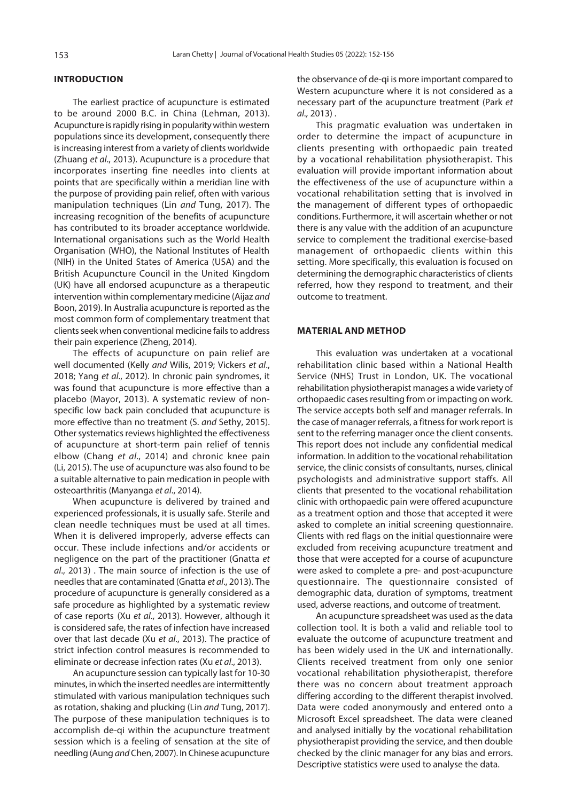#### **INTRODUCTION**

The earliest practice of acupuncture is estimated to be around 2000 B.C. in China [\(Lehman, 2013\)](#page-3-0). Acupuncture is rapidly rising in popularity within western populations since its development, consequently there is increasing interest from a variety of clients worldwide [\(Zhuang](#page-4-0) *et al*., 2013). Acupuncture is a procedure that incorporates inserting fine needles into clients at points that are specifically within a meridian line with the purpose of providing pain relief, often with various manipulation techniques (Lin and [Tung, 2017\).](#page-3-0) The increasing recognition of the benefits of acupuncture has contributed to its broader acceptance worldwide. International organisations such as the World Health Organisation (WHO), the National Institutes of Health (NIH) in the United States of America (USA) and the British Acupuncture Council in the United Kingdom (UK) have all endorsed acupuncture as a therapeutic intervention within complementary medicine [\(Aijaz](#page-3-0) *and*  [Boon, 2019\)](#page-3-0). In Australia acupuncture is reported as the most common form of complementary treatment that clients seek when conventional medicine fails to address their pain experience [\(Zheng, 2014\).](#page-4-0) 

The effects of acupuncture on pain relief are well documented (Kelly *and* [Wilis, 2019;](#page-3-0) [Vickers](#page-4-0) *et al*., [2018;](#page-4-0) Yang *et al*[., 2012](#page-4-0)). In chronic pain syndromes, it was found that acupuncture is more effective than a placebo [\(Mayor, 2013\)](#page-3-0). A systematic review of nonspecific low back pain concluded that acupuncture is more effective than no treatment (S. and [Sethy, 2015\)](#page-4-0). Other systematics reviews highlighted the effectiveness of acupuncture at short-term pain relief of tennis elbow [\(Chang](#page-3-0) *et al*., 2014) and chronic knee pain [\(Li, 2015\)](#page-3-0). The use of acupuncture was also found to be a suitable alternative to pain medication in people with osteoarthritis [\(Manyanga](#page-3-0) *et al*., 2014).

When acupuncture is delivered by trained and experienced professionals, it is usually safe. Sterile and clean needle techniques must be used at all times. When it is delivered improperly, adverse effects can occur. These include infections and/or accidents or negligence on the part of the practitioner [\(Gnatta](#page-3-0) *et al*[., 2013\)](#page-3-0) . The main source of infection is the use of needles that are contaminated [\(Gnatta](#page-3-0) *et al*., 2013). The procedure of acupuncture is generally considered as a safe procedure as highlighted by a systematic review of case reports (Xu *et al*[., 2013\).](#page-4-0) However, although it is considered safe, the rates of infection have increased over that last decade (Xu *et al*[., 2013\).](#page-4-0) The practice of strict infection control measures is recommended to eliminate or decrease infection rates (Xu *et al*[., 2013\)](#page-4-0).

An acupuncture session can typically last for 10-30 minutes, in which the inserted needles are intermittently stimulated with various manipulation techniques such as rotation, shaking and plucking (Lin *and* [Tung, 2017\)](#page-3-0). The purpose of these manipulation techniques is to accomplish de-qi within the acupuncture treatment session which is a feeling of sensation at the site of needling (Aung and [Chen, 2007\)](#page-3-0). In Chinese acupuncture

the observance of de-qi is more important compared to Western acupuncture where it is not considered as a necessary part of the acupuncture treatment [\(Park](#page-3-0) *et al.,* [2013\)](#page-3-0) .

This pragmatic evaluation was undertaken in order to determine the impact of acupuncture in clients presenting with orthopaedic pain treated by a vocational rehabilitation physiotherapist. This evaluation will provide important information about the effectiveness of the use of acupuncture within a vocational rehabilitation setting that is involved in the management of different types of orthopaedic conditions. Furthermore, it will ascertain whether or not there is any value with the addition of an acupuncture service to complement the traditional exercise-based management of orthopaedic clients within this setting. More specifically, this evaluation is focused on determining the demographic characteristics of clients referred, how they respond to treatment, and their outcome to treatment.

#### **MATERIAL AND METHOD**

This evaluation was undertaken at a vocational rehabilitation clinic based within a National Health Service (NHS) Trust in London, UK. The vocational rehabilitation physiotherapist manages a wide variety of orthopaedic cases resulting from or impacting on work. The service accepts both self and manager referrals. In the case of manager referrals, a fitness for work report is sent to the referring manager once the client consents. This report does not include any confidential medical information. In addition to the vocational rehabilitation service, the clinic consists of consultants, nurses, clinical psychologists and administrative support staffs. All clients that presented to the vocational rehabilitation clinic with orthopaedic pain were offered acupuncture as a treatment option and those that accepted it were asked to complete an initial screening questionnaire. Clients with red flags on the initial questionnaire were excluded from receiving acupuncture treatment and those that were accepted for a course of acupuncture were asked to complete a pre- and post-acupuncture questionnaire. The questionnaire consisted of demographic data, duration of symptoms, treatment used, adverse reactions, and outcome of treatment.

An acupuncture spreadsheet was used as the data collection tool. It is both a valid and reliable tool to evaluate the outcome of acupuncture treatment and has been widely used in the UK and internationally. Clients received treatment from only one senior vocational rehabilitation physiotherapist, therefore there was no concern about treatment approach differing according to the different therapist involved. Data were coded anonymously and entered onto a Microsoft Excel spreadsheet. The data were cleaned and analysed initially by the vocational rehabilitation physiotherapist providing the service, and then double checked by the clinic manager for any bias and errors. Descriptive statistics were used to analyse the data.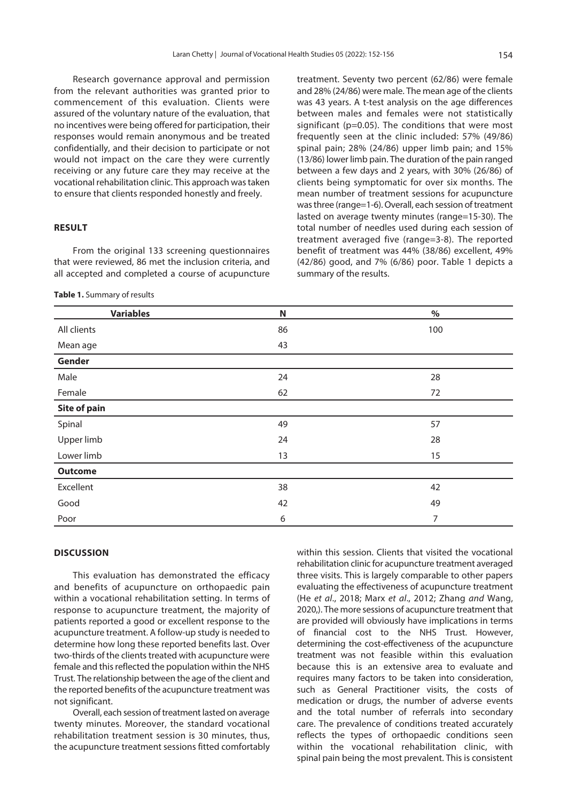Research governance approval and permission from the relevant authorities was granted prior to commencement of this evaluation. Clients were assured of the voluntary nature of the evaluation, that no incentives were being offered for participation, their responses would remain anonymous and be treated confidentially, and their decision to participate or not would not impact on the care they were currently receiving or any future care they may receive at the vocational rehabilitation clinic. This approach was taken to ensure that clients responded honestly and freely.

#### **RESULT**

From the original 133 screening questionnaires that were reviewed, 86 met the inclusion criteria, and all accepted and completed a course of acupuncture

**Table 1.** Summary of results

treatment. Seventy two percent (62/86) were female and 28% (24/86) were male. The mean age of the clients was 43 years. A t-test analysis on the age differences between males and females were not statistically significant (p=0.05). The conditions that were most frequently seen at the clinic included: 57% (49/86) spinal pain; 28% (24/86) upper limb pain; and 15% (13/86) lower limb pain. The duration of the pain ranged between a few days and 2 years, with 30% (26/86) of clients being symptomatic for over six months. The mean number of treatment sessions for acupuncture was three (range=1-6). Overall, each session of treatment lasted on average twenty minutes (range=15-30). The total number of needles used during each session of treatment averaged five (range=3-8). The reported benefit of treatment was 44% (38/86) excellent, 49% (42/86) good, and 7% (6/86) poor. Table 1 depicts a summary of the results.

| <b>Variables</b>    | N  | $\%$ |
|---------------------|----|------|
| All clients         | 86 | 100  |
| Mean age            | 43 |      |
| Gender              |    |      |
| Male                | 24 | 28   |
| Female              | 62 | 72   |
| <b>Site of pain</b> |    |      |
| Spinal              | 49 | 57   |
| Upper limb          | 24 | 28   |
| Lower limb          | 13 | 15   |
| <b>Outcome</b>      |    |      |
| Excellent           | 38 | 42   |
| Good                | 42 | 49   |
| Poor                | 6  | 7    |

#### **DISCUSSION**

This evaluation has demonstrated the efficacy and benefits of acupuncture on orthopaedic pain within a vocational rehabilitation setting. In terms of response to acupuncture treatment, the majority of patients reported a good or excellent response to the acupuncture treatment. A follow-up study is needed to determine how long these reported benefits last. Over two-thirds of the clients treated with acupuncture were female and this reflected the population within the NHS Trust. The relationship between the age of the client and the reported benefits of the acupuncture treatment was not significant.

Overall, each session of treatment lasted on average twenty minutes. Moreover, the standard vocational rehabilitation treatment session is 30 minutes, thus, the acupuncture treatment sessions fitted comfortably

within this session. Clients that visited the vocational rehabilitation clinic for acupuncture treatment averaged three visits. This is largely comparable to other papers evaluating the effectiveness of acupuncture treatment (He et al[., 2018;](#page-3-0) Marx et al[., 2012;](#page-3-0) Zhang and [Wang,](#page-4-0)  [2020,\).](#page-4-0) The more sessions of acupuncture treatment that are provided will obviously have implications in terms of financial cost to the NHS Trust. However, determining the cost-effectiveness of the acupuncture treatment was not feasible within this evaluation because this is an extensive area to evaluate and requires many factors to be taken into consideration, such as General Practitioner visits, the costs of medication or drugs, the number of adverse events and the total number of referrals into secondary care. The prevalence of conditions treated accurately reflects the types of orthopaedic conditions seen within the vocational rehabilitation clinic, with spinal pain being the most prevalent. This is consistent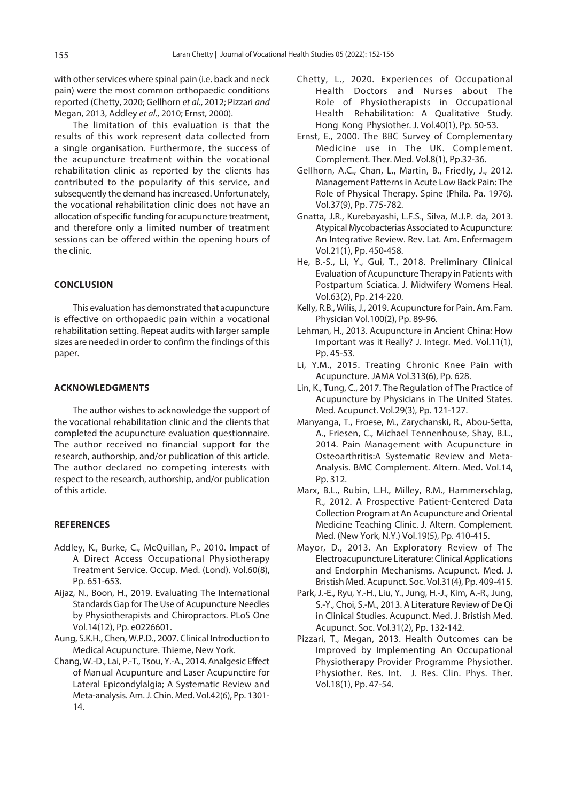<span id="page-3-0"></span>with other services where spinal pain (i.e. back and neck pain) were the most common orthopaedic conditions reported (Chetty, 2020; Gellhorn et al., 2012; Pizzari and Megan, 2013, Addley et al., 2010; Ernst, 2000).

The limitation of this evaluation is that the results of this work represent data collected from a single organisation. Furthermore, the success of the acupuncture treatment within the vocational rehabilitation clinic as reported by the clients has contributed to the popularity of this service, and subsequently the demand has increased. Unfortunately, the vocational rehabilitation clinic does not have an allocation of specific funding for acupuncture treatment, and therefore only a limited number of treatment sessions can be offered within the opening hours of the clinic.

### **CONCLUSION**

This evaluation has demonstrated that acupuncture is effective on orthopaedic pain within a vocational rehabilitation setting. Repeat audits with larger sample sizes are needed in order to confirm the findings of this paper.

#### **ACKNOWLEDGMENTS**

The author wishes to acknowledge the support of the vocational rehabilitation clinic and the clients that completed the acupuncture evaluation questionnaire. The author received no financial support for the research, authorship, and/or publication of this article. The author declared no competing interests with respect to the research, authorship, and/or publication of this article.

#### **REFERENCES**

- [Addley, K., Burke, C., McQuillan, P., 2010. Impact of](https://doi.org/10.1093/occmed/kqq160) A Direct Access Occupational Physiotherapy Treatment Service. Occup. Med. (Lond). Vol.60(8), Pp. 651-653.
- [Aijaz, N., Boon, H., 2019. Evaluating The International](https://doi.org/10.1371/journal.pone.0226601) Standards Gap for The Use of Acupuncture Needles by Physiotherapists and Chiropractors. PLoS One Vol.14(12), Pp. e0226601.
- Aung, S.K.H., Chen, W.P.D., 2007. Clinical Introduction to Medical Acupuncture. Thieme, New York.
- [Chang, W.-D., Lai, P.-T., Tsou, Y.-A., 2014. Analgesic Effect](https://doi.org/10.1142/S0192415X14500815)  of Manual Acupunture and Laser Acupunctire for Lateral Epicondylalgia; A Systematic Review and Meta-analysis. Am. J. Chin. Med. Vol.42(6), Pp. 1301- 14.
- [Chetty, L., 2020. Experiences of Occupational](https//doi.org/10.1142/S1013702520500018)  Health Doctors and Nurses about The Role of Physiotherapists in Occupational Health Rehabilitation: A Qualitative Study. Hong Kong Physiother. J. Vol.40(1), Pp. 50-53.
- [Ernst, E., 2000. The BBC Survey of Complementary](https://pubmed.ncbi.nlm.nih.gov/10812758/#:~:text=Setting and participants%3A 1204 British,the most popular treatment modalities.&text=Conclusions%3A It is concluded that CAM is prevalent in the UK.)  Medicine use in The UK. Complement. Complement. Ther. Med. Vol.8(1), Pp.32-36.
- [Gellhorn, A.C., Chan, L., Martin, B., Friedly, J., 2012.](https://doi.org/10.1097/BRS.0b013e3181d79a09) Management Patterns in Acute Low Back Pain: The Role of Physical Therapy. Spine (Phila. Pa. 1976). Vol.37(9), Pp. 775-782.
- Gnatta, J.R., Kurebayashi, L.F.S., Silva, M.J.P. da, 2013. [Atypical Mycobacterias Associated to Acupuncture](https://doi.org/10.1590/s0104-11692013000100022): An Integrative Review. Rev. Lat. Am. Enfermagem Vol.21(1), Pp. 450-458.
- He, B.-S., Li, Y., Gui, T., 2018. Preliminary Clinical [Evaluation of Acupuncture Therapy in Patients with](https://doi.org/10.1111/jmwh.12681) Postpartum Sciatica. J. Midwifery Womens Heal. Vol.63(2), Pp. 214-220.
- [Kelly, R.B., Wilis, J., 2019. Acupuncture for Pain. Am. Fam.](https://pubmed.ncbi.nlm.nih.gov/31305037/)  Physician Vol.100(2), Pp. 89-96.
- Lehman, H., 2013. Acupuncture in Ancient China: How [Important was it Really? J. Integr. Med. Vol.11\(1\),](https://doi.org/10.3736/jintegrmed2013008)  Pp. 45-53.
- [Li, Y.M., 2015. Treating Chronic Knee Pain wit](https://doi.org/10.1001/jama.2014.18519)h Acupuncture. JAMA Vol.313(6), Pp. 628.
- Lin, K., Tung, C., 2017. The Regulation of The Practice of [Acupuncture by Physicians in The United States](https://doi.org/10.1089/acu.2017.1235). Med. Acupunct. Vol.29(3), Pp. 121-127.
- [Manyanga, T., Froese, M., Zarychanski, R., Abou-Setta,](https://doi.org/10.1186/1472-6882-14-312) A., Friesen, C., Michael Tennenhouse, Shay, B.L., 2014. Pain Management with Acupuncture in Osteoarthritis:A Systematic Review and Meta-Analysis. BMC Complement. Altern. Med. Vol.14, Pp. 312.
- Marx, B.L., Rubin, L.H., Milley, R.M., Hammerschlag, [R., 2012. A Prospective Patient-Centered Data](https://doi.org/10.1089/acm.2011.0774) Collection Program at An Acupuncture and Oriental Medicine Teaching Clinic. J. Altern. Complement. Med. (New York, N.Y.) Vol.19(5), Pp. 410-415.
- [Mayor, D., 2013. An Exploratory Review of The](https://doi.org/10.1136/acupmed-2013-010324) Electroacupuncture Literature: Clinical Applications and Endorphin Mechanisms. Acupunct. Med. J. Bristish Med. Acupunct. Soc. Vol.31(4), Pp. 409-415.
- [Park, J.-E., Ryu, Y.-H., Liu, Y., Jung, H.-J., Kim, A.-R., Jung,](https:/doi.org/10.1136/acupmed-2012-010279) S.-Y., Choi, S.-M., 2013. A Literature Review of De Qi in Clinical Studies. Acupunct. Med. J. Bristish Med. Acupunct. Soc. Vol.31(2), Pp. 132-142.
- Pizzari, T., Megan, 2013. Health Outcomes can be [Improved by Implementing An Occupational](https://doi.org/0.1002/pri.1533)  Physiotherapy Provider Programme Physiother. Physiother. Res. Int. J. Res. Clin. Phys. Ther. Vol.18(1), Pp. 47-54.